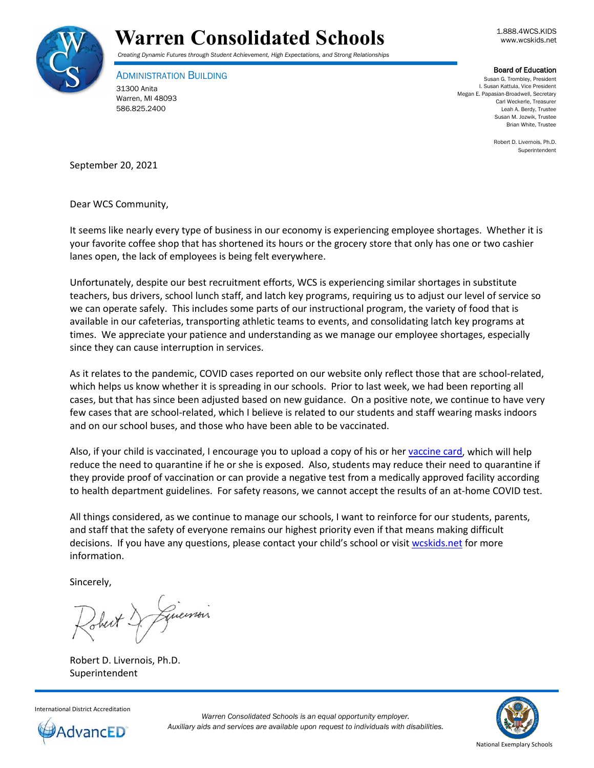



ADMINISTRATION BUILDING 31300 Anita Warren, MI 48093 586.825.2400

**Board of Education**<br>Susan G. Trombley, President I. Susan Kattula, Vice President Megan E. Papasian-Broadwell, Secretary Carl Weckerle, Treasurer Leah A. Berdy, Trustee Susan M. Jozwik, Trustee Brian White, Trustee

> Robert D. Livernois, Ph.D. Superintendent

September 20, 2021

Dear WCS Community,

It seems like nearly every type of business in our economy is experiencing employee shortages. Whether it is your favorite coffee shop that has shortened its hours or the grocery store that only has one or two cashier lanes open, the lack of employees is being felt everywhere.

Unfortunately, despite our best recruitment efforts, WCS is experiencing similar shortages in substitute teachers, bus drivers, school lunch staff, and latch key programs, requiring us to adjust our level of service so we can operate safely. This includes some parts of our instructional program, the variety of food that is available in our cafeterias, transporting athletic teams to events, and consolidating latch key programs at times. We appreciate your patience and understanding as we manage our employee shortages, especially since they can cause interruption in services.

As it relates to the pandemic, COVID cases reported on our website only reflect those that are school-related, which helps us know whether it is spreading in our schools. Prior to last week, we had been reporting all cases, but that has since been adjusted based on new guidance. On a positive note, we continue to have very few cases that are school-related, which I believe is related to our students and staff wearing masks indoors and on our school buses, and those who have been able to be vaccinated.

Also, if your child is vaccinated, I encourage you to upload a copy of his or her [vaccine card,](https://www.wcskids.net/DocumentDepot/se/Forms/31/Add.aspx) which will help reduce the need to quarantine if he or she is exposed. Also, students may reduce their need to quarantine if they provide proof of vaccination or can provide a negative test from a medically approved facility according to health department guidelines. For safety reasons, we cannot accept the results of an at-home COVID test.

All things considered, as we continue to manage our schools, I want to reinforce for our students, parents, and staff that the safety of everyone remains our highest priority even if that means making difficult decisions. If you have any questions, please contact your child's school or visi[t wcskids.net](http://wcskids.net/) for more information.

Sincerely,

Guerrois

Robert D. Livernois, Ph.D. Superintendent



*Warren Consolidated Schools is an equal opportunity employer. Auxiliary aids and services are available upon request to individuals with disabilities.*

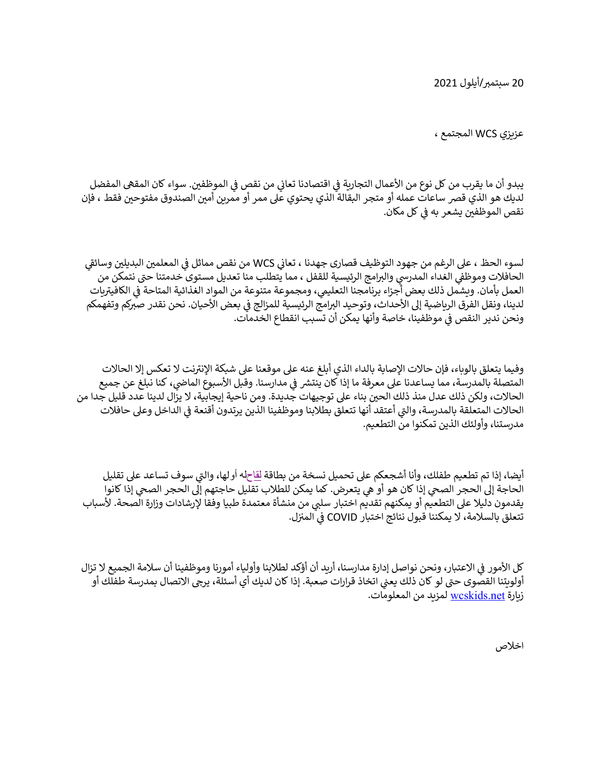20 سبتمرب/أيلول 2021

عزيزي WCS المجتمع ،

يبدو أن ما يقرب من كل نوع من الأعمال التجارية في اقتصادنا تعاني من نقصٍ في الموظفين. سواء كان المقهى المفضل لديك هو الذي قصر ساعات عمله أو متجر البقالة الذي يحتوي على ممر أو ممرين أمين الصندوق مفتوحين فقط ، فإن نقص الموظفين يشعر به في كل مكان.

لسوء الحظ ، على الرغم من جهود التوظيف قصارى جهدنا ، تعاني WCS من نقص مماثل في المعلمين البديلين وسائق<sub>،</sub> الحافلات وموظفي الغداء المدرسي والبرامج الرئيسية للقفل ، مما يتطلب منا تعديل مستوى خدمتنا حتى نتمكن من<br>الحافلات رت .<br>العمل بأمان. ويشمل ذلك بعض أجزاء برنامجنا التعليمي، ومجموعة متنوعة من المواد الغذائية المتاحة في الكافيتريات لدينا، ونقل الفرق الرياضية إلى الأحداث، وتوحيد البرامج الرئيسية للمزالج في بعض الأحيان. نحن نقدر صبركم وتفهمكم ونحن ندير النقص في موظفينا، خاصة وأنها يمكن أن تسبب انقطاع الخدمات.

وفيما يتعلق بالوباء، فإن حالات الإصابة بالداء الذي أبلغ عنه على موقعنا على شبكة الإنترنت لا تعكس إلا الحالات المتصلة بالمدرسة، مما يساعدنا على معرفة ما إذا كان ينتشر في مدارسنا. وقبل الأسبوع الماضي، كنا نبلغ عن جميع الحالات، ولكن ذلك عدل منذ ذلك الحين بناء على توجيهات جديدة. ومن ناحية إيجابية، لا يزال لدينا عدد قليل جدا من الحالات المتعلقة بالمدرسة، والتي أعتقد أنها تتعلق بطلابنا وموظفينا الذين يرتدون أقنعة في الداخل وعلى حافلات مدرستنا، وأولئك الذين تمكنوا من التطعيم.

أيضا، إذا تم تطعيم طفلك، وأنا أشجعكم على تحميل نسخة من بطاقة <u>لقاح</u>له أولها، والتي سوف تساعد على تقليل الحاجة إىل الحجر الصيح إذا كان هو أو يه يتعرض. كما يمكن للطالب تقليل حاجتهم إىل الحجر الصيح إذا كانوا يقدمون دليلا على التطعيم أو يمكنهم تقديم اختبار سلبي من منشأة معتمدة طبيا وفقا لإرشادات وزارة الصحة. لأسباب تتعلق بالسلامة، لا يمكننا قبول نتائج اختبار COVID في المنزل.

كل الأمور في الاعتبار، ونحن نواصل إدارة مدارسنا، أريد أن أؤكد لطلابنا وأولياء أمورنا وموظفينا أن سلامة الجميع لا تزال أولويتنا القصوى حتى لو كان ذلك يعني اتخاذ قرارات صعبة. إذا كان لديك أي أسئلة، يرجى الاتصال بمدرسة طفلك أو زيارة <u>wcskids.net </u>لمزيد من المعلومات.

اخالص